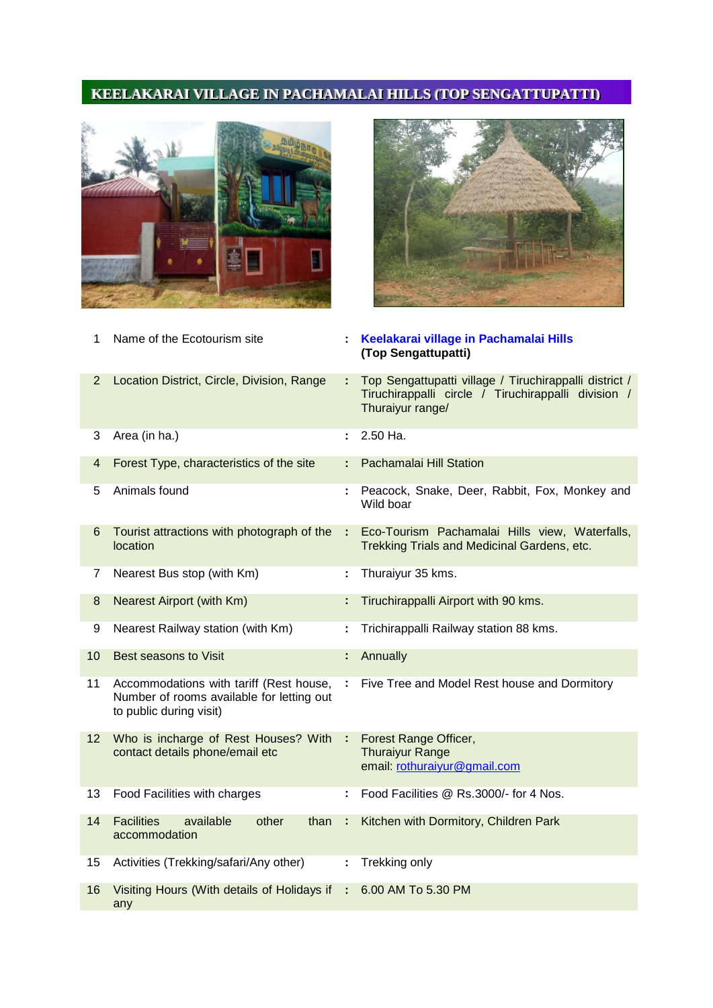## KEELAKARAI VILLAGE IN PACHAMALAI HILLS (TOP SENGATTUPATTI)





| 1                       | Name of the Ecotourism site                                                                                     | ÷  | Keelakarai village in Pachamalai Hills<br>(Top Sengattupatti)                                                                     |
|-------------------------|-----------------------------------------------------------------------------------------------------------------|----|-----------------------------------------------------------------------------------------------------------------------------------|
| $\overline{2}$          | Location District, Circle, Division, Range                                                                      |    | Top Sengattupatti village / Tiruchirappalli district /<br>Tiruchirappalli circle / Tiruchirappalli division /<br>Thuraiyur range/ |
| 3                       | Area (in ha.)                                                                                                   |    | 2.50 Ha.                                                                                                                          |
| $\overline{\mathbf{4}}$ | Forest Type, characteristics of the site                                                                        | ÷. | Pachamalai Hill Station                                                                                                           |
| 5                       | Animals found                                                                                                   |    | Peacock, Snake, Deer, Rabbit, Fox, Monkey and<br>Wild boar                                                                        |
| 6                       | Tourist attractions with photograph of the<br>location                                                          | ÷  | Eco-Tourism Pachamalai Hills view, Waterfalls,<br>Trekking Trials and Medicinal Gardens, etc.                                     |
| 7                       | Nearest Bus stop (with Km)                                                                                      | ÷. | Thuraiyur 35 kms.                                                                                                                 |
| 8                       | Nearest Airport (with Km)                                                                                       | ÷. | Tiruchirappalli Airport with 90 kms.                                                                                              |
| 9                       | Nearest Railway station (with Km)                                                                               | t. | Trichirappalli Railway station 88 kms.                                                                                            |
| 10                      | Best seasons to Visit                                                                                           | ÷  | Annually                                                                                                                          |
| 11                      | Accommodations with tariff (Rest house,<br>Number of rooms available for letting out<br>to public during visit) | ÷. | Five Tree and Model Rest house and Dormitory                                                                                      |
| 12                      | Who is incharge of Rest Houses? With :<br>contact details phone/email etc                                       |    | Forest Range Officer,<br><b>Thuraiyur Range</b><br>email: rothuraiyur@gmail.com                                                   |
| 13                      | Food Facilities with charges                                                                                    |    | Food Facilities @ Rs.3000/- for 4 Nos.                                                                                            |
| 14                      | <b>Facilities</b><br>available<br>other<br>than<br>accommodation                                                | ÷. | Kitchen with Dormitory, Children Park                                                                                             |
| 15                      | Activities (Trekking/safari/Any other)                                                                          | ÷. | Trekking only                                                                                                                     |
| 16                      | Visiting Hours (With details of Holidays if :<br>any                                                            |    | 6.00 AM To 5.30 PM                                                                                                                |